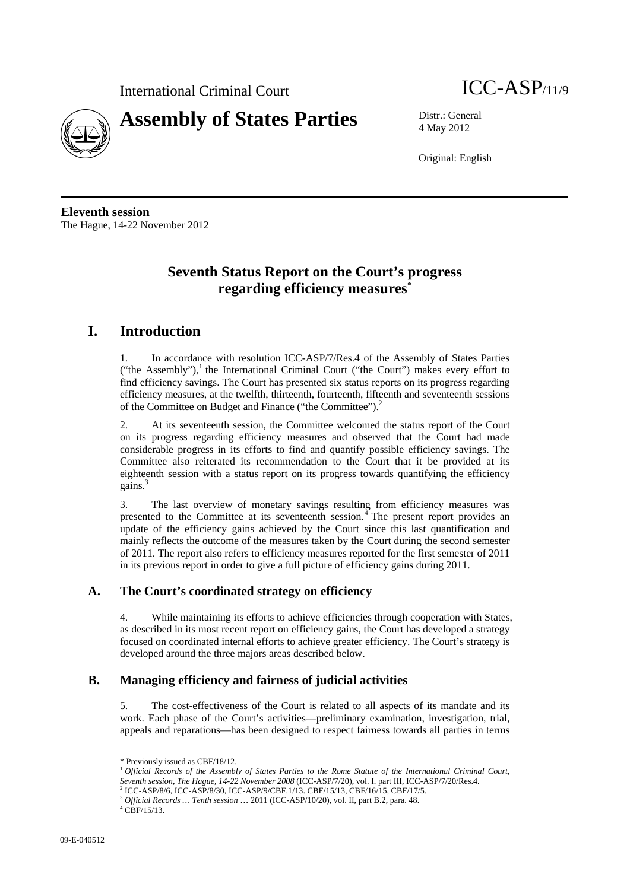



4 May 2012

Original: English

**Eleventh session**  The Hague, 14-22 November 2012

# **Seventh Status Report on the Court's progress regarding efficiency measures**\*

# **I. Introduction**

1. In accordance with resolution ICC-ASP/7/Res.4 of the Assembly of States Parties ("the Assembly"), $<sup>1</sup>$  the International Criminal Court ("the Court") makes every effort to</sup> find efficiency savings. The Court has presented six status reports on its progress regarding efficiency measures, at the twelfth, thirteenth, fourteenth, fifteenth and seventeenth sessions of the Committee on Budget and Finance ("the Committee").<sup>2</sup>

2. At its seventeenth session, the Committee welcomed the status report of the Court on its progress regarding efficiency measures and observed that the Court had made considerable progress in its efforts to find and quantify possible efficiency savings. The Committee also reiterated its recommendation to the Court that it be provided at its eighteenth session with a status report on its progress towards quantifying the efficiency gains.<sup>3</sup>

3. The last overview of monetary savings resulting from efficiency measures was presented to the Committee at its seventeenth session. $\frac{4}{1}$  The present report provides an update of the efficiency gains achieved by the Court since this last quantification and mainly reflects the outcome of the measures taken by the Court during the second semester of 2011. The report also refers to efficiency measures reported for the first semester of 2011 in its previous report in order to give a full picture of efficiency gains during 2011.

### **A. The Court's coordinated strategy on efficiency**

4. While maintaining its efforts to achieve efficiencies through cooperation with States, as described in its most recent report on efficiency gains, the Court has developed a strategy focused on coordinated internal efforts to achieve greater efficiency. The Court's strategy is developed around the three majors areas described below.

### **B. Managing efficiency and fairness of judicial activities**

5. The cost-effectiveness of the Court is related to all aspects of its mandate and its work. Each phase of the Court's activities—preliminary examination, investigation, trial, appeals and reparations—has been designed to respect fairness towards all parties in terms

<sup>\*</sup> Previously issued as CBF/18/12.

<sup>1</sup> *Official Records of the Assembly of States Parties to the Rome Statute of the International Criminal Court, Seventh session, The Hague, 14-22 November 2008* (ICC-ASP/7/20), vol. I. part III, ICC-ASP/7/20/Res.4. 2

ICC-ASP/8/6, ICC-ASP/8/30, ICC-ASP/9/CBF.1/13. CBF/15/13, CBF/16/15, CBF/17/5. 3 *Official Records … Tenth session* … 2011 (ICC-ASP/10/20), vol. II, part B.2, para. 48. 4

 $^{4}$  CBF/15/13.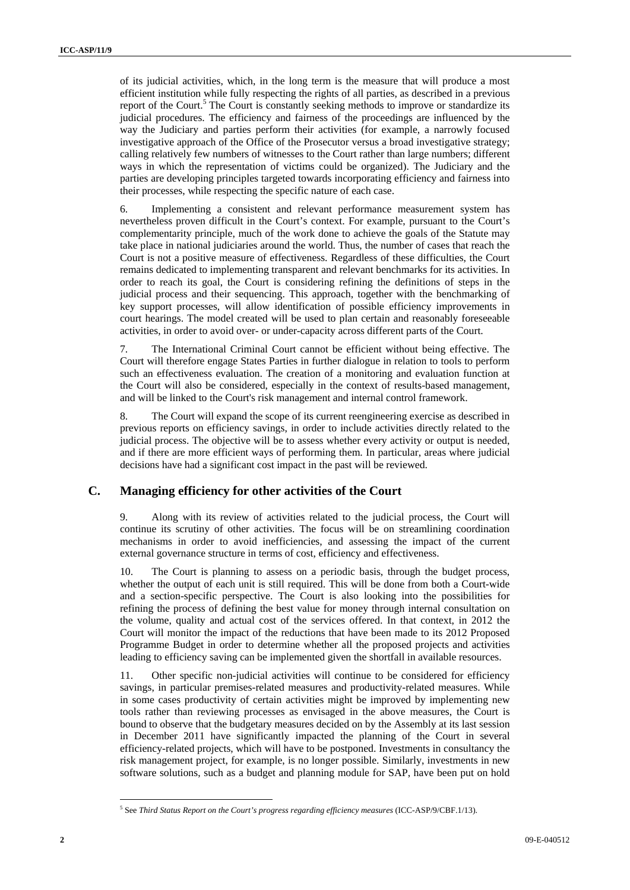of its judicial activities, which, in the long term is the measure that will produce a most efficient institution while fully respecting the rights of all parties, as described in a previous report of the Court.<sup>5</sup> The Court is constantly seeking methods to improve or standardize its judicial procedures. The efficiency and fairness of the proceedings are influenced by the way the Judiciary and parties perform their activities (for example, a narrowly focused investigative approach of the Office of the Prosecutor versus a broad investigative strategy; calling relatively few numbers of witnesses to the Court rather than large numbers; different ways in which the representation of victims could be organized). The Judiciary and the parties are developing principles targeted towards incorporating efficiency and fairness into their processes, while respecting the specific nature of each case.

6. Implementing a consistent and relevant performance measurement system has nevertheless proven difficult in the Court's context. For example, pursuant to the Court's complementarity principle, much of the work done to achieve the goals of the Statute may take place in national judiciaries around the world. Thus, the number of cases that reach the Court is not a positive measure of effectiveness. Regardless of these difficulties, the Court remains dedicated to implementing transparent and relevant benchmarks for its activities. In order to reach its goal, the Court is considering refining the definitions of steps in the judicial process and their sequencing. This approach, together with the benchmarking of key support processes, will allow identification of possible efficiency improvements in court hearings. The model created will be used to plan certain and reasonably foreseeable activities, in order to avoid over- or under-capacity across different parts of the Court.

7. The International Criminal Court cannot be efficient without being effective. The Court will therefore engage States Parties in further dialogue in relation to tools to perform such an effectiveness evaluation. The creation of a monitoring and evaluation function at the Court will also be considered, especially in the context of results-based management, and will be linked to the Court's risk management and internal control framework.

8. The Court will expand the scope of its current reengineering exercise as described in previous reports on efficiency savings, in order to include activities directly related to the judicial process. The objective will be to assess whether every activity or output is needed, and if there are more efficient ways of performing them. In particular, areas where judicial decisions have had a significant cost impact in the past will be reviewed.

## **C. Managing efficiency for other activities of the Court**

9. Along with its review of activities related to the judicial process, the Court will continue its scrutiny of other activities. The focus will be on streamlining coordination mechanisms in order to avoid inefficiencies, and assessing the impact of the current external governance structure in terms of cost, efficiency and effectiveness.

10. The Court is planning to assess on a periodic basis, through the budget process, whether the output of each unit is still required. This will be done from both a Court-wide and a section-specific perspective. The Court is also looking into the possibilities for refining the process of defining the best value for money through internal consultation on the volume, quality and actual cost of the services offered. In that context, in 2012 the Court will monitor the impact of the reductions that have been made to its 2012 Proposed Programme Budget in order to determine whether all the proposed projects and activities leading to efficiency saving can be implemented given the shortfall in available resources.

Other specific non-judicial activities will continue to be considered for efficiency savings, in particular premises-related measures and productivity-related measures. While in some cases productivity of certain activities might be improved by implementing new tools rather than reviewing processes as envisaged in the above measures, the Court is bound to observe that the budgetary measures decided on by the Assembly at its last session in December 2011 have significantly impacted the planning of the Court in several efficiency-related projects, which will have to be postponed. Investments in consultancy the risk management project, for example, is no longer possible. Similarly, investments in new software solutions, such as a budget and planning module for SAP, have been put on hold

<sup>&</sup>lt;sup>5</sup> See Third Status Report on the Court's progress regarding efficiency measures (ICC-ASP/9/CBF.1/13).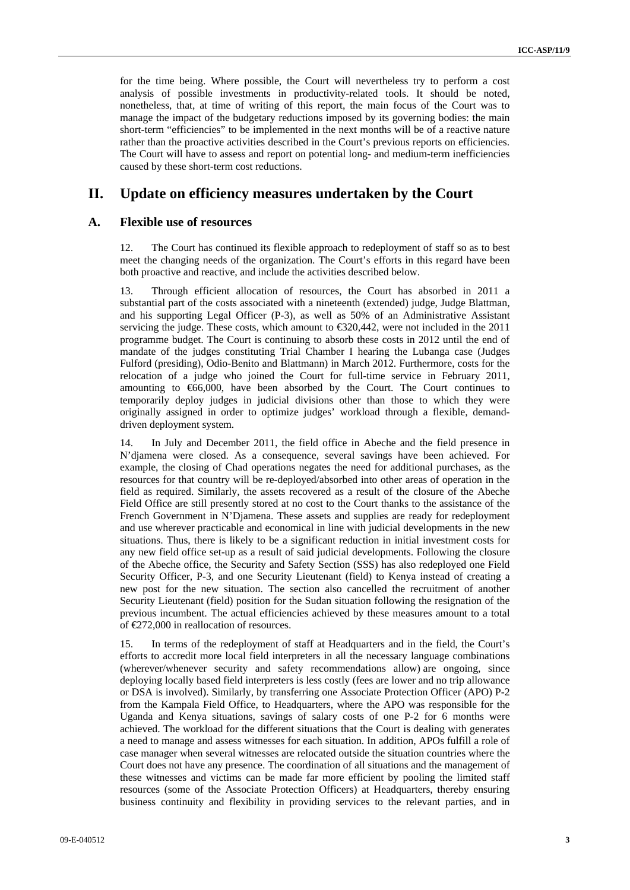for the time being. Where possible, the Court will nevertheless try to perform a cost analysis of possible investments in productivity-related tools. It should be noted, nonetheless, that, at time of writing of this report, the main focus of the Court was to manage the impact of the budgetary reductions imposed by its governing bodies: the main short-term "efficiencies" to be implemented in the next months will be of a reactive nature rather than the proactive activities described in the Court's previous reports on efficiencies. The Court will have to assess and report on potential long- and medium-term inefficiencies caused by these short-term cost reductions.

# **II. Update on efficiency measures undertaken by the Court**

#### **A. Flexible use of resources**

12. The Court has continued its flexible approach to redeployment of staff so as to best meet the changing needs of the organization. The Court's efforts in this regard have been both proactive and reactive, and include the activities described below.

13. Through efficient allocation of resources, the Court has absorbed in 2011 a substantial part of the costs associated with a nineteenth (extended) judge, Judge Blattman, and his supporting Legal Officer (P-3), as well as 50% of an Administrative Assistant servicing the judge. These costs, which amount to  $\epsilon$  320,442, were not included in the 2011 programme budget. The Court is continuing to absorb these costs in 2012 until the end of mandate of the judges constituting Trial Chamber I hearing the Lubanga case (Judges Fulford (presiding), Odio-Benito and Blattmann) in March 2012. Furthermore, costs for the relocation of a judge who joined the Court for full-time service in February 2011, amounting to €66,000, have been absorbed by the Court. The Court continues to temporarily deploy judges in judicial divisions other than those to which they were originally assigned in order to optimize judges' workload through a flexible, demanddriven deployment system.

14. In July and December 2011, the field office in Abeche and the field presence in N'djamena were closed. As a consequence, several savings have been achieved. For example, the closing of Chad operations negates the need for additional purchases, as the resources for that country will be re-deployed/absorbed into other areas of operation in the field as required. Similarly, the assets recovered as a result of the closure of the Abeche Field Office are still presently stored at no cost to the Court thanks to the assistance of the French Government in N'Djamena. These assets and supplies are ready for redeployment and use wherever practicable and economical in line with judicial developments in the new situations. Thus, there is likely to be a significant reduction in initial investment costs for any new field office set-up as a result of said judicial developments. Following the closure of the Abeche office, the Security and Safety Section (SSS) has also redeployed one Field Security Officer, P-3, and one Security Lieutenant (field) to Kenya instead of creating a new post for the new situation. The section also cancelled the recruitment of another Security Lieutenant (field) position for the Sudan situation following the resignation of the previous incumbent. The actual efficiencies achieved by these measures amount to a total of €272,000 in reallocation of resources.

15. In terms of the redeployment of staff at Headquarters and in the field, the Court's efforts to accredit more local field interpreters in all the necessary language combinations (wherever/whenever security and safety recommendations allow) are ongoing, since deploying locally based field interpreters is less costly (fees are lower and no trip allowance or DSA is involved). Similarly, by transferring one Associate Protection Officer (APO) P-2 from the Kampala Field Office, to Headquarters, where the APO was responsible for the Uganda and Kenya situations, savings of salary costs of one P-2 for 6 months were achieved. The workload for the different situations that the Court is dealing with generates a need to manage and assess witnesses for each situation. In addition, APOs fulfill a role of case manager when several witnesses are relocated outside the situation countries where the Court does not have any presence. The coordination of all situations and the management of these witnesses and victims can be made far more efficient by pooling the limited staff resources (some of the Associate Protection Officers) at Headquarters, thereby ensuring business continuity and flexibility in providing services to the relevant parties, and in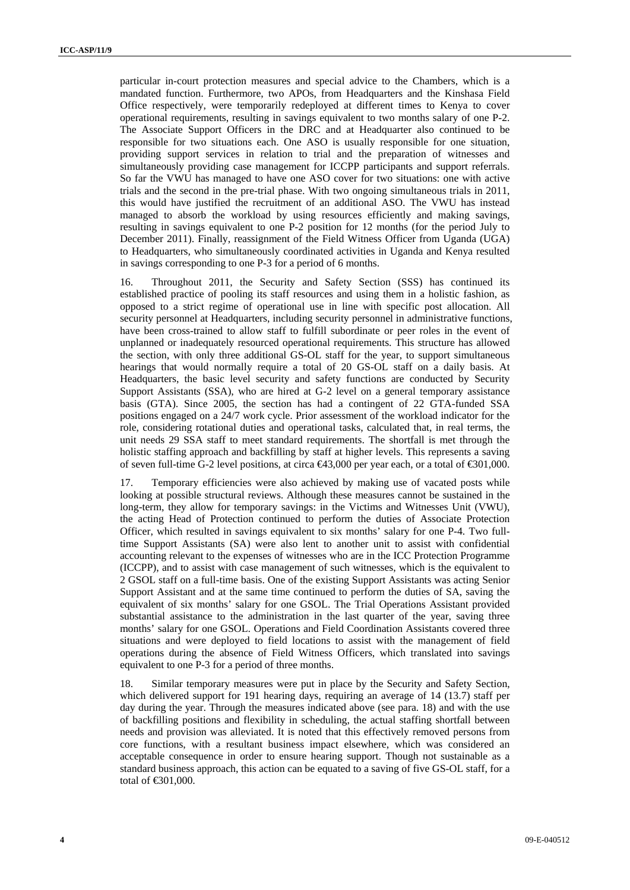particular in-court protection measures and special advice to the Chambers, which is a mandated function. Furthermore, two APOs, from Headquarters and the Kinshasa Field Office respectively, were temporarily redeployed at different times to Kenya to cover operational requirements, resulting in savings equivalent to two months salary of one P-2. The Associate Support Officers in the DRC and at Headquarter also continued to be responsible for two situations each. One ASO is usually responsible for one situation, providing support services in relation to trial and the preparation of witnesses and simultaneously providing case management for ICCPP participants and support referrals. So far the VWU has managed to have one ASO cover for two situations: one with active trials and the second in the pre-trial phase. With two ongoing simultaneous trials in 2011, this would have justified the recruitment of an additional ASO. The VWU has instead managed to absorb the workload by using resources efficiently and making savings, resulting in savings equivalent to one P-2 position for 12 months (for the period July to December 2011). Finally, reassignment of the Field Witness Officer from Uganda (UGA) to Headquarters, who simultaneously coordinated activities in Uganda and Kenya resulted in savings corresponding to one P-3 for a period of 6 months.

Throughout 2011, the Security and Safety Section (SSS) has continued its established practice of pooling its staff resources and using them in a holistic fashion, as opposed to a strict regime of operational use in line with specific post allocation. All security personnel at Headquarters, including security personnel in administrative functions, have been cross-trained to allow staff to fulfill subordinate or peer roles in the event of unplanned or inadequately resourced operational requirements. This structure has allowed the section, with only three additional GS-OL staff for the year, to support simultaneous hearings that would normally require a total of 20 GS-OL staff on a daily basis. At Headquarters, the basic level security and safety functions are conducted by Security Support Assistants (SSA), who are hired at G-2 level on a general temporary assistance basis (GTA). Since 2005, the section has had a contingent of 22 GTA-funded SSA positions engaged on a 24/7 work cycle. Prior assessment of the workload indicator for the role, considering rotational duties and operational tasks, calculated that, in real terms, the unit needs 29 SSA staff to meet standard requirements. The shortfall is met through the holistic staffing approach and backfilling by staff at higher levels. This represents a saving of seven full-time G-2 level positions, at circa  $\epsilon$ 43,000 per year each, or a total of  $\epsilon$ 301,000.

17. Temporary efficiencies were also achieved by making use of vacated posts while looking at possible structural reviews. Although these measures cannot be sustained in the long-term, they allow for temporary savings: in the Victims and Witnesses Unit (VWU), the acting Head of Protection continued to perform the duties of Associate Protection Officer, which resulted in savings equivalent to six months' salary for one P-4. Two fulltime Support Assistants (SA) were also lent to another unit to assist with confidential accounting relevant to the expenses of witnesses who are in the ICC Protection Programme (ICCPP), and to assist with case management of such witnesses, which is the equivalent to 2 GSOL staff on a full-time basis. One of the existing Support Assistants was acting Senior Support Assistant and at the same time continued to perform the duties of SA, saving the equivalent of six months' salary for one GSOL. The Trial Operations Assistant provided substantial assistance to the administration in the last quarter of the year, saving three months' salary for one GSOL. Operations and Field Coordination Assistants covered three situations and were deployed to field locations to assist with the management of field operations during the absence of Field Witness Officers, which translated into savings equivalent to one P-3 for a period of three months.

18. Similar temporary measures were put in place by the Security and Safety Section, which delivered support for 191 hearing days, requiring an average of 14 (13.7) staff per day during the year. Through the measures indicated above (see para. 18) and with the use of backfilling positions and flexibility in scheduling, the actual staffing shortfall between needs and provision was alleviated. It is noted that this effectively removed persons from core functions, with a resultant business impact elsewhere, which was considered an acceptable consequence in order to ensure hearing support. Though not sustainable as a standard business approach, this action can be equated to a saving of five GS-OL staff, for a total of €301,000.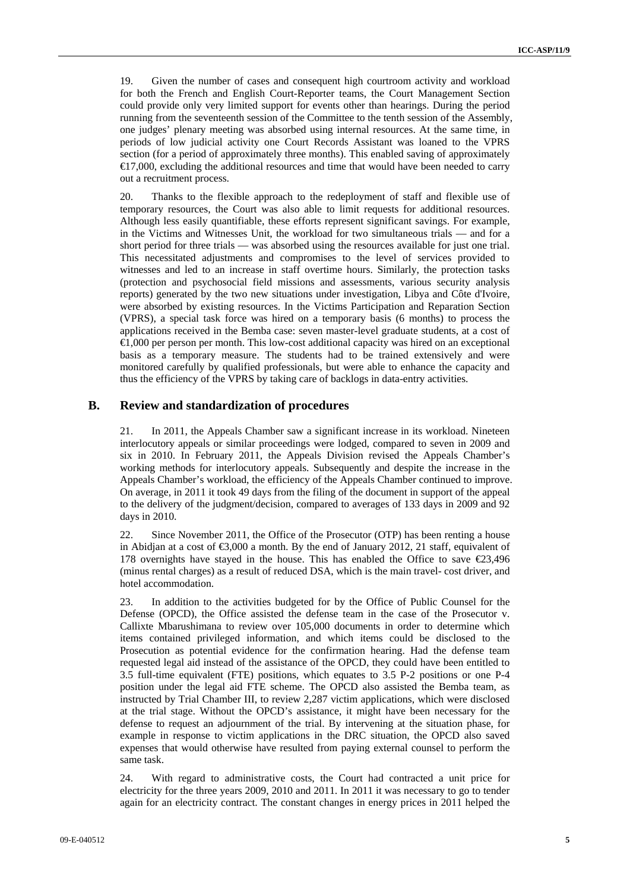19. Given the number of cases and consequent high courtroom activity and workload for both the French and English Court-Reporter teams, the Court Management Section could provide only very limited support for events other than hearings. During the period running from the seventeenth session of the Committee to the tenth session of the Assembly, one judges' plenary meeting was absorbed using internal resources. At the same time, in periods of low judicial activity one Court Records Assistant was loaned to the VPRS section (for a period of approximately three months). This enabled saving of approximately €17,000, excluding the additional resources and time that would have been needed to carry out a recruitment process.

20. Thanks to the flexible approach to the redeployment of staff and flexible use of temporary resources, the Court was also able to limit requests for additional resources. Although less easily quantifiable, these efforts represent significant savings. For example, in the Victims and Witnesses Unit, the workload for two simultaneous trials — and for a short period for three trials — was absorbed using the resources available for just one trial. This necessitated adjustments and compromises to the level of services provided to witnesses and led to an increase in staff overtime hours. Similarly, the protection tasks (protection and psychosocial field missions and assessments, various security analysis reports) generated by the two new situations under investigation, Libya and Côte d'Ivoire, were absorbed by existing resources. In the Victims Participation and Reparation Section (VPRS), a special task force was hired on a temporary basis (6 months) to process the applications received in the Bemba case: seven master-level graduate students, at a cost of €1,000 per person per month. This low-cost additional capacity was hired on an exceptional basis as a temporary measure. The students had to be trained extensively and were monitored carefully by qualified professionals, but were able to enhance the capacity and thus the efficiency of the VPRS by taking care of backlogs in data-entry activities.

#### **B. Review and standardization of procedures**

21. In 2011, the Appeals Chamber saw a significant increase in its workload. Nineteen interlocutory appeals or similar proceedings were lodged, compared to seven in 2009 and six in 2010. In February 2011, the Appeals Division revised the Appeals Chamber's working methods for interlocutory appeals. Subsequently and despite the increase in the Appeals Chamber's workload, the efficiency of the Appeals Chamber continued to improve. On average, in 2011 it took 49 days from the filing of the document in support of the appeal to the delivery of the judgment/decision, compared to averages of 133 days in 2009 and 92 days in 2010.

22. Since November 2011, the Office of the Prosecutor (OTP) has been renting a house in Abidjan at a cost of  $\leq 3,000$  a month. By the end of January 2012, 21 staff, equivalent of 178 overnights have stayed in the house. This has enabled the Office to save  $\epsilon$ 23,496 (minus rental charges) as a result of reduced DSA, which is the main travel- cost driver, and hotel accommodation.

23. In addition to the activities budgeted for by the Office of Public Counsel for the Defense (OPCD), the Office assisted the defense team in the case of the Prosecutor v. Callixte Mbarushimana to review over 105,000 documents in order to determine which items contained privileged information, and which items could be disclosed to the Prosecution as potential evidence for the confirmation hearing. Had the defense team requested legal aid instead of the assistance of the OPCD, they could have been entitled to 3.5 full-time equivalent (FTE) positions, which equates to 3.5 P-2 positions or one P-4 position under the legal aid FTE scheme. The OPCD also assisted the Bemba team, as instructed by Trial Chamber III, to review 2,287 victim applications, which were disclosed at the trial stage. Without the OPCD's assistance, it might have been necessary for the defense to request an adjournment of the trial. By intervening at the situation phase, for example in response to victim applications in the DRC situation, the OPCD also saved expenses that would otherwise have resulted from paying external counsel to perform the same task.

24. With regard to administrative costs, the Court had contracted a unit price for electricity for the three years 2009, 2010 and 2011. In 2011 it was necessary to go to tender again for an electricity contract. The constant changes in energy prices in 2011 helped the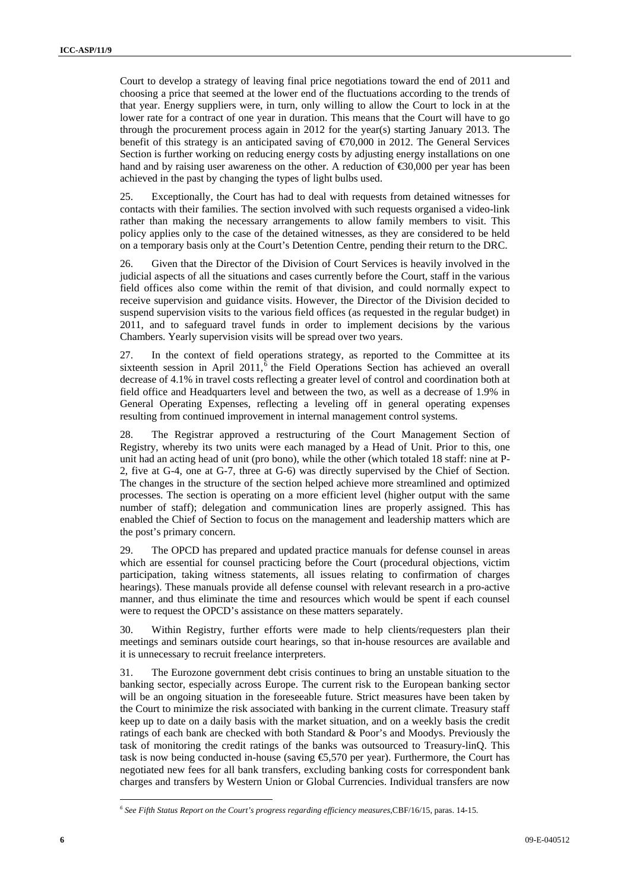Court to develop a strategy of leaving final price negotiations toward the end of 2011 and choosing a price that seemed at the lower end of the fluctuations according to the trends of that year. Energy suppliers were, in turn, only willing to allow the Court to lock in at the lower rate for a contract of one year in duration. This means that the Court will have to go through the procurement process again in 2012 for the year(s) starting January 2013. The benefit of this strategy is an anticipated saving of  $\epsilon$ 70,000 in 2012. The General Services Section is further working on reducing energy costs by adjusting energy installations on one hand and by raising user awareness on the other. A reduction of €30,000 per year has been achieved in the past by changing the types of light bulbs used.

25. Exceptionally, the Court has had to deal with requests from detained witnesses for contacts with their families. The section involved with such requests organised a video-link rather than making the necessary arrangements to allow family members to visit. This policy applies only to the case of the detained witnesses, as they are considered to be held on a temporary basis only at the Court's Detention Centre, pending their return to the DRC.

26. Given that the Director of the Division of Court Services is heavily involved in the judicial aspects of all the situations and cases currently before the Court, staff in the various field offices also come within the remit of that division, and could normally expect to receive supervision and guidance visits. However, the Director of the Division decided to suspend supervision visits to the various field offices (as requested in the regular budget) in 2011, and to safeguard travel funds in order to implement decisions by the various Chambers. Yearly supervision visits will be spread over two years.

27. In the context of field operations strategy, as reported to the Committee at its sixteenth session in April 2011, $\delta$  the Field Operations Section has achieved an overall decrease of 4.1% in travel costs reflecting a greater level of control and coordination both at field office and Headquarters level and between the two, as well as a decrease of 1.9% in General Operating Expenses, reflecting a leveling off in general operating expenses resulting from continued improvement in internal management control systems.

28. The Registrar approved a restructuring of the Court Management Section of Registry, whereby its two units were each managed by a Head of Unit. Prior to this, one unit had an acting head of unit (pro bono), while the other (which totaled 18 staff: nine at P-2, five at G-4, one at G-7, three at G-6) was directly supervised by the Chief of Section. The changes in the structure of the section helped achieve more streamlined and optimized processes. The section is operating on a more efficient level (higher output with the same number of staff); delegation and communication lines are properly assigned. This has enabled the Chief of Section to focus on the management and leadership matters which are the post's primary concern.

29. The OPCD has prepared and updated practice manuals for defense counsel in areas which are essential for counsel practicing before the Court (procedural objections, victim participation, taking witness statements, all issues relating to confirmation of charges hearings). These manuals provide all defense counsel with relevant research in a pro-active manner, and thus eliminate the time and resources which would be spent if each counsel were to request the OPCD's assistance on these matters separately.

30. Within Registry, further efforts were made to help clients/requesters plan their meetings and seminars outside court hearings, so that in-house resources are available and it is unnecessary to recruit freelance interpreters.

31. The Eurozone government debt crisis continues to bring an unstable situation to the banking sector, especially across Europe. The current risk to the European banking sector will be an ongoing situation in the foreseeable future. Strict measures have been taken by the Court to minimize the risk associated with banking in the current climate. Treasury staff keep up to date on a daily basis with the market situation, and on a weekly basis the credit ratings of each bank are checked with both Standard & Poor's and Moodys. Previously the task of monitoring the credit ratings of the banks was outsourced to Treasury-linQ. This task is now being conducted in-house (saving  $\epsilon$ 5,570 per year). Furthermore, the Court has negotiated new fees for all bank transfers, excluding banking costs for correspondent bank charges and transfers by Western Union or Global Currencies. Individual transfers are now

*<sup>6</sup> See Fifth Status Report on the Court's progress regarding efficiency measures*,CBF/16/15, paras. 14-15.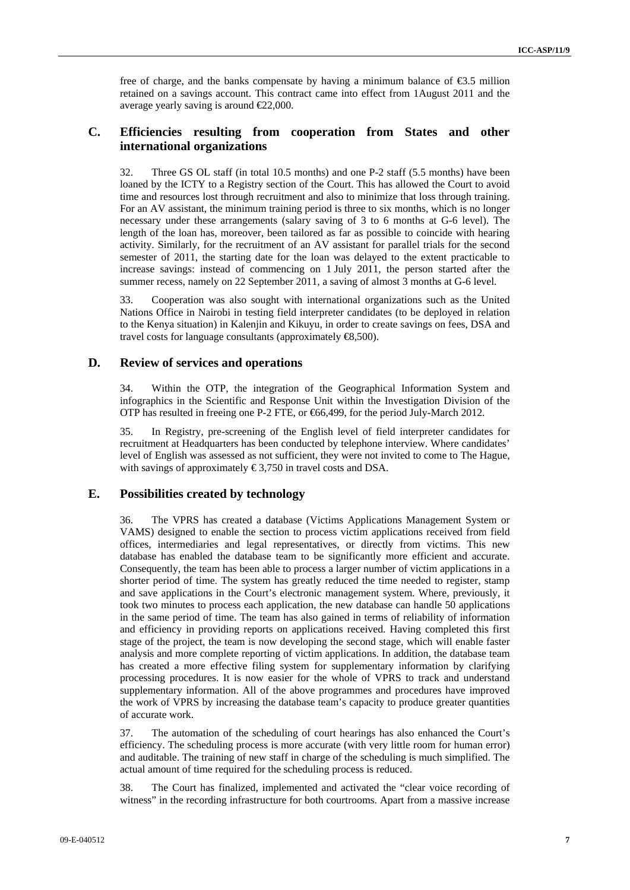free of charge, and the banks compensate by having a minimum balance of  $\epsilon$ 3.5 million retained on a savings account. This contract came into effect from 1August 2011 and the average yearly saving is around  $\epsilon$ 22,000.

## **C. Efficiencies resulting from cooperation from States and other international organizations**

32. Three GS OL staff (in total 10.5 months) and one P-2 staff (5.5 months) have been loaned by the ICTY to a Registry section of the Court. This has allowed the Court to avoid time and resources lost through recruitment and also to minimize that loss through training. For an AV assistant, the minimum training period is three to six months, which is no longer necessary under these arrangements (salary saving of 3 to 6 months at G-6 level). The length of the loan has, moreover, been tailored as far as possible to coincide with hearing activity. Similarly, for the recruitment of an AV assistant for parallel trials for the second semester of 2011, the starting date for the loan was delayed to the extent practicable to increase savings: instead of commencing on 1 July 2011, the person started after the summer recess, namely on 22 September 2011, a saving of almost 3 months at G-6 level.

33. Cooperation was also sought with international organizations such as the United Nations Office in Nairobi in testing field interpreter candidates (to be deployed in relation to the Kenya situation) in Kalenjin and Kikuyu, in order to create savings on fees, DSA and travel costs for language consultants (approximately  $\textcircled{t}$ 8,500).

#### **D. Review of services and operations**

34. Within the OTP, the integration of the Geographical Information System and infographics in the Scientific and Response Unit within the Investigation Division of the OTP has resulted in freeing one P-2 FTE, or €66,499, for the period July-March 2012.

35. In Registry, pre-screening of the English level of field interpreter candidates for recruitment at Headquarters has been conducted by telephone interview. Where candidates' level of English was assessed as not sufficient, they were not invited to come to The Hague, with savings of approximately  $\epsilon$ 3,750 in travel costs and DSA.

#### **E. Possibilities created by technology**

36. The VPRS has created a database (Victims Applications Management System or VAMS) designed to enable the section to process victim applications received from field offices, intermediaries and legal representatives, or directly from victims. This new database has enabled the database team to be significantly more efficient and accurate. Consequently, the team has been able to process a larger number of victim applications in a shorter period of time. The system has greatly reduced the time needed to register, stamp and save applications in the Court's electronic management system. Where, previously, it took two minutes to process each application, the new database can handle 50 applications in the same period of time. The team has also gained in terms of reliability of information and efficiency in providing reports on applications received. Having completed this first stage of the project, the team is now developing the second stage, which will enable faster analysis and more complete reporting of victim applications. In addition, the database team has created a more effective filing system for supplementary information by clarifying processing procedures. It is now easier for the whole of VPRS to track and understand supplementary information. All of the above programmes and procedures have improved the work of VPRS by increasing the database team's capacity to produce greater quantities of accurate work.

37. The automation of the scheduling of court hearings has also enhanced the Court's efficiency. The scheduling process is more accurate (with very little room for human error) and auditable. The training of new staff in charge of the scheduling is much simplified. The actual amount of time required for the scheduling process is reduced.

38. The Court has finalized, implemented and activated the "clear voice recording of witness" in the recording infrastructure for both courtrooms. Apart from a massive increase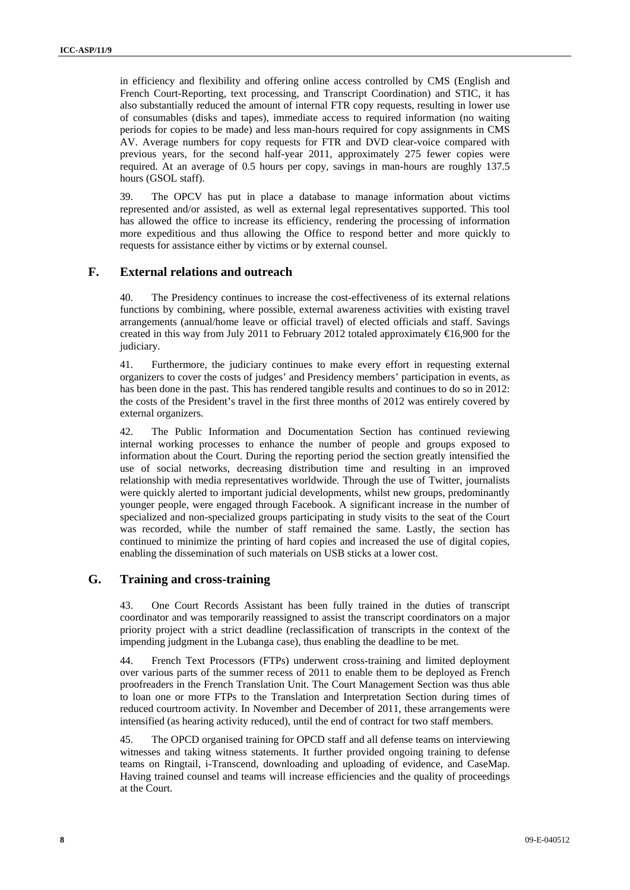in efficiency and flexibility and offering online access controlled by CMS (English and French Court-Reporting, text processing, and Transcript Coordination) and STIC, it has also substantially reduced the amount of internal FTR copy requests, resulting in lower use of consumables (disks and tapes), immediate access to required information (no waiting periods for copies to be made) and less man-hours required for copy assignments in CMS AV. Average numbers for copy requests for FTR and DVD clear-voice compared with previous years, for the second half-year 2011, approximately 275 fewer copies were required. At an average of 0.5 hours per copy, savings in man-hours are roughly 137.5 hours (GSOL staff).

39. The OPCV has put in place a database to manage information about victims represented and/or assisted, as well as external legal representatives supported. This tool has allowed the office to increase its efficiency, rendering the processing of information more expeditious and thus allowing the Office to respond better and more quickly to requests for assistance either by victims or by external counsel.

## **F. External relations and outreach**

40. The Presidency continues to increase the cost-effectiveness of its external relations functions by combining, where possible, external awareness activities with existing travel arrangements (annual/home leave or official travel) of elected officials and staff. Savings created in this way from July 2011 to February 2012 totaled approximately  $\epsilon$ 6,900 for the judiciary.

41. Furthermore, the judiciary continues to make every effort in requesting external organizers to cover the costs of judges' and Presidency members' participation in events, as has been done in the past. This has rendered tangible results and continues to do so in 2012: the costs of the President's travel in the first three months of 2012 was entirely covered by external organizers.

42. The Public Information and Documentation Section has continued reviewing internal working processes to enhance the number of people and groups exposed to information about the Court. During the reporting period the section greatly intensified the use of social networks, decreasing distribution time and resulting in an improved relationship with media representatives worldwide. Through the use of Twitter, journalists were quickly alerted to important judicial developments, whilst new groups, predominantly younger people, were engaged through Facebook. A significant increase in the number of specialized and non-specialized groups participating in study visits to the seat of the Court was recorded, while the number of staff remained the same. Lastly, the section has continued to minimize the printing of hard copies and increased the use of digital copies, enabling the dissemination of such materials on USB sticks at a lower cost.

#### **G. Training and cross-training**

43. One Court Records Assistant has been fully trained in the duties of transcript coordinator and was temporarily reassigned to assist the transcript coordinators on a major priority project with a strict deadline (reclassification of transcripts in the context of the impending judgment in the Lubanga case), thus enabling the deadline to be met.

44. French Text Processors (FTPs) underwent cross-training and limited deployment over various parts of the summer recess of 2011 to enable them to be deployed as French proofreaders in the French Translation Unit. The Court Management Section was thus able to loan one or more FTPs to the Translation and Interpretation Section during times of reduced courtroom activity. In November and December of 2011, these arrangements were intensified (as hearing activity reduced), until the end of contract for two staff members.

45. The OPCD organised training for OPCD staff and all defense teams on interviewing witnesses and taking witness statements. It further provided ongoing training to defense teams on Ringtail, i-Transcend, downloading and uploading of evidence, and CaseMap. Having trained counsel and teams will increase efficiencies and the quality of proceedings at the Court.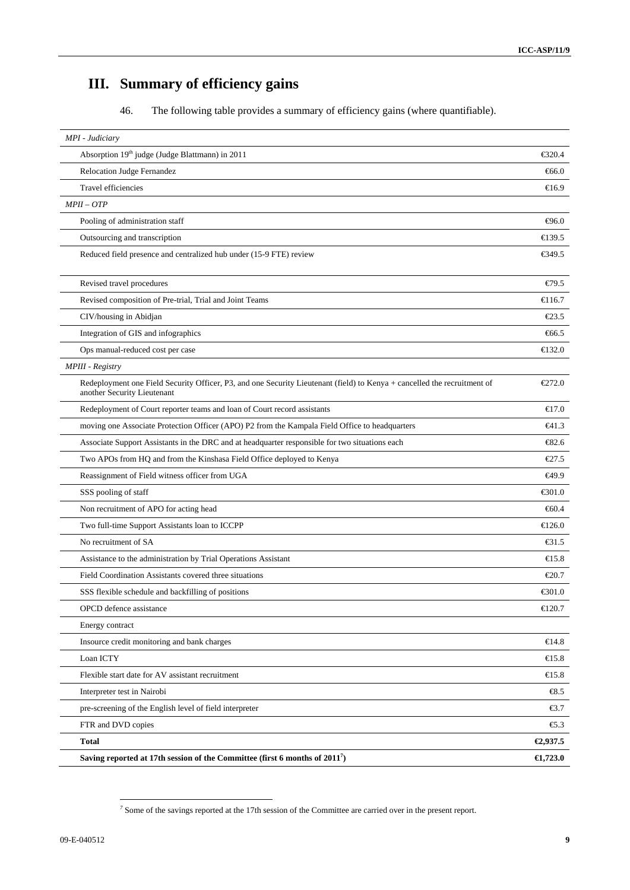# **III. Summary of efficiency gains**

46. The following table provides a summary of efficiency gains (where quantifiable).

| MPI - Judiciary                                                                                                                                         |                            |
|---------------------------------------------------------------------------------------------------------------------------------------------------------|----------------------------|
| Absorption 19th judge (Judge Blattmann) in 2011                                                                                                         | €320.4                     |
| <b>Relocation Judge Fernandez</b>                                                                                                                       | $-66.0$                    |
| <b>Travel efficiencies</b>                                                                                                                              | $\bigoplus$ 6.9            |
| $MPI - OTP$                                                                                                                                             |                            |
| Pooling of administration staff                                                                                                                         | $\Theta$ 6.0               |
| Outsourcing and transcription                                                                                                                           | €139.5                     |
| Reduced field presence and centralized hub under (15-9 FTE) review                                                                                      | €349.5                     |
| Revised travel procedures                                                                                                                               | E79.5                      |
| Revised composition of Pre-trial, Trial and Joint Teams                                                                                                 | €116.7                     |
| CIV/housing in Abidjan                                                                                                                                  | $\epsilon$ 23.5            |
| Integration of GIS and infographics                                                                                                                     | €66.5                      |
| Ops manual-reduced cost per case                                                                                                                        | €132.0                     |
| MPIII - Registry                                                                                                                                        |                            |
| Redeployment one Field Security Officer, P3, and one Security Lieutenant (field) to Kenya + cancelled the recruitment of<br>another Security Lieutenant | €272.0                     |
| Redeployment of Court reporter teams and loan of Court record assistants                                                                                | €17.0                      |
| moving one Associate Protection Officer (APO) P2 from the Kampala Field Office to headquarters                                                          | $\epsilon$ 41.3            |
| Associate Support Assistants in the DRC and at headquarter responsible for two situations each                                                          | $-82.6$                    |
| Two APOs from HQ and from the Kinshasa Field Office deployed to Kenya                                                                                   | €27.5                      |
| Reassignment of Field witness officer from UGA                                                                                                          | €49.9                      |
| SSS pooling of staff                                                                                                                                    | € $301.0$                  |
| Non recruitment of APO for acting head                                                                                                                  | $-660.4$                   |
| Two full-time Support Assistants loan to ICCPP                                                                                                          | $\epsilon$ 126.0           |
| No recruitment of SA                                                                                                                                    | $\text{\textsterling}31.5$ |
| Assistance to the administration by Trial Operations Assistant                                                                                          | €15.8                      |
| Field Coordination Assistants covered three situations                                                                                                  | $\epsilon$ 20.7            |
| SSS flexible schedule and backfilling of positions                                                                                                      | € $301.0$                  |
| OPCD defence assistance                                                                                                                                 | €120.7                     |
| Energy contract                                                                                                                                         |                            |
| Insource credit monitoring and bank charges                                                                                                             | €14.8                      |
| Loan ICTY                                                                                                                                               | €15.8                      |
| Flexible start date for AV assistant recruitment                                                                                                        | $\epsilon$ 15.8            |
| Interpreter test in Nairobi                                                                                                                             | $\bigoplus$ .5             |
| pre-screening of the English level of field interpreter                                                                                                 | €3.7                       |
| FTR and DVD copies                                                                                                                                      | $\epsilon$ .3              |
| <b>Total</b>                                                                                                                                            | €2,937.5                   |
| Saving reported at 17th session of the Committee (first 6 months of 2011 <sup>7</sup> )                                                                 | $\epsilon$ 1,723.0         |

*<sup>7</sup>* Some of the savings reported at the 17th session of the Committee are carried over in the present report.